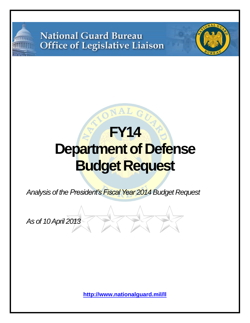**National Guard Bureau Office of Legislative Liaison** 



# **FY14 Department of Defense Budget Request**

*Analysis of the President's Fiscal Year 2014 Budget Request*

*As of 10April 2013*

**http://www.nationalguard.mil/ll**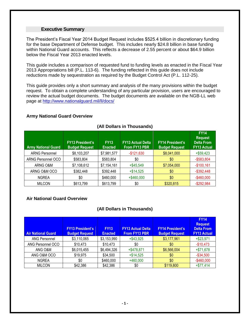#### **Executive Summary**

The President's Fiscal Year 2014 Budget Request includes \$525.4 billion in discretionary funding for the base Department of Defense budget. This includes nearly \$24.8 billion in base funding within National Guard accounts. This reflects a decrease of 2.55 percent or about \$64.9 billion below the Fiscal Year 2013 enacted levels.

This guide includes a comparison of requested fund to funding levels as enacted in the Fiscal Year 2013 Appropriations bill (P.L. 113-6). The funding reflected in this guide does not include reductions made by sequestration as required by the Budget Control Act (P.L. 112-25).

This guide provides only a short summary and analysis of the many provisions within the budget request. To obtain a complete understanding of any particular provision, users are encouraged to review the actual budget documents. The budget documents are available on the NGB-LL web page at<http://www.nationalguard.mil/ll/docs/>

#### **Army National Guard Overview**

| <b>Army National Guard</b> | <b>FY13 President's</b><br><b>Budget Request</b> | <b>FY13</b><br><b>Enacted</b> | <b>FY13 Actual Delta</b><br>From FY13 PBR | <b>FY14 President's</b><br><b>Budget Request</b> | <b>FY14</b><br><b>Request</b><br><b>Delta From</b><br><b>FY13 Actual</b> |
|----------------------------|--------------------------------------------------|-------------------------------|-------------------------------------------|--------------------------------------------------|--------------------------------------------------------------------------|
| <b>ARNG Personnel</b>      | \$8,103,207                                      | \$7,981,577                   | $-$121,630$                               | \$8,041,000                                      | $+$ \$59,423                                                             |
| ARNG Personnel OCO         | \$583,804                                        | \$583,804                     | \$0                                       | \$0                                              | $-$583,804$                                                              |
| ARNG O&M                   | \$7,108,612                                      | \$7,154,161                   | $+$ \$45,549                              | \$7,054,000                                      | $-$100,161$                                                              |
| ARNG O&M OCO               | \$382,448                                        | \$392,448                     | $+$ \$14,525                              | \$0                                              | $-$ \$392,448                                                            |
| <b>NGREA</b>               | \$0                                              | \$460,000                     | $+$ \$460,000                             | \$0                                              | $-$ \$460,000                                                            |
| <b>MILCON</b>              | \$613,799                                        | \$613,799                     | \$0                                       | \$320,815                                        | $-$292,984$                                                              |

# **(All Dollars in Thousands)**

# **Air National Guard Overview**

# **(All Dollars in Thousands)**

| <b>Air National Guard</b> | <b>FY13 President's</b><br><b>Budget Request</b> | <b>FY13</b><br><b>Enacted</b> | <b>FY13 Actual Delta</b><br><b>From FY13 PBR</b> | <b>FY14 President's</b><br><b>Budget Request</b> | <b>FY14</b><br><b>Request</b><br><b>Delta From</b><br><b>FY13 Actual</b> |
|---------------------------|--------------------------------------------------|-------------------------------|--------------------------------------------------|--------------------------------------------------|--------------------------------------------------------------------------|
| <b>ANG Personnel</b>      | \$3,110,065                                      | \$3,153,990                   | $+$ \$43,925                                     | \$3,177,961                                      | $+ $23,971$                                                              |
| ANG Personnel OCO         | \$10,473                                         | \$10,473                      | \$0                                              | \$0                                              | $-$10,473$                                                               |
| ANG O&M                   | \$6,015,455                                      | \$6,494,326                   | $+$ \$478,871                                    | \$6,566,004                                      | $+ $71,678$                                                              |
| ANG O&M OCO               | \$19,975                                         | \$34,500                      | $+$ \$14,525                                     | \$0                                              | $-$34,500$                                                               |
| <b>NGREA</b>              | \$0                                              | \$460,000                     | $+460,000$                                       | \$0                                              | $-$ \$460,000                                                            |
| <b>MILCON</b>             | \$42,386                                         | \$42,386                      | \$0                                              | \$119,800                                        | $+\$77,414$                                                              |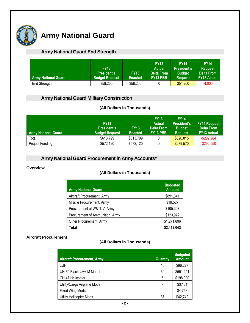

# **Army National Guard**

# **Army National Guard End Strength**

| <b>Army National Guard</b> | <b>FY13</b><br><b>President's</b><br><b>Budget Request</b> | <b>FY13</b><br><b>Enacted</b> | <b>FY13</b><br>Actual<br>Delta From<br><b>FY13 PBR</b> | <b>FY14</b><br><b>President's</b><br><b>Budget</b><br><b>Request</b> | <b>FY14</b><br><b>Request</b><br>Delta From<br><b>FY13 Actual</b> |
|----------------------------|------------------------------------------------------------|-------------------------------|--------------------------------------------------------|----------------------------------------------------------------------|-------------------------------------------------------------------|
| End Strength               | 358,200                                                    | 358,200                       |                                                        | 354,200                                                              | -4.000                                                            |

# **Army National Guard Military Construction**

# **(All Dollars in Thousands)**

| <b>Army National Guard</b> | <b>FY13</b><br><b>President's</b><br><b>Budget Request</b> | <b>FY13</b><br><b>Enacted</b> | <b>FY13</b><br><b>Actual</b><br><b>Delta From</b><br>FY13 PBR | <b>FY14</b><br>President's<br><b>Budget</b><br><b>Request</b> | FY14 Request<br><b>Delta From</b><br><b>FY13 Actual</b> |
|----------------------------|------------------------------------------------------------|-------------------------------|---------------------------------------------------------------|---------------------------------------------------------------|---------------------------------------------------------|
| Total                      | \$613,799                                                  | \$613,799                     |                                                               | \$320,815                                                     | $-$ \$292,984                                           |
| <b>Project Funding</b>     | \$572,120                                                  | \$572,120                     | ი                                                             | \$279,570                                                     | $-$ \$292,550                                           |

# **Army National Guard Procurement in Army Accounts\***

#### **Overview**

# **(All Dollars in Thousands)**

| <b>Army National Guard</b>      | <b>Budgeted</b><br><b>Amount</b> |
|---------------------------------|----------------------------------|
| Aircraft Procurement, Army      | \$891,341                        |
| Missile Procurement, Army       | \$19,527                         |
| Procurement of W&TCV, Army      | \$105,307                        |
| Procurement of Ammunition, Army | \$123,972                        |
| Other Procurement, Army         | \$1,271,896                      |
| Total                           | \$2,412,043                      |

#### **Aircraft Procurement**

# **(All Dollars in Thousands)**

| <b>Aircraft Procurement, Army</b> | <b>Quantity</b> | <b>Budgeted</b><br><b>Amount</b> |
|-----------------------------------|-----------------|----------------------------------|
| <b>LUH</b>                        | 10              | \$96,227                         |
| UH-60 Blackhawk M Model           | 30              | \$551,241                        |
| CH-47 Helicopter                  | 6               | \$198,000                        |
| Utility/Cargo Airplane Mods       |                 | \$3,131                          |
| <b>Fixed Wing Mods</b>            |                 | \$4,758                          |
| Utility Helicopter Mods           | 37              | \$42,742                         |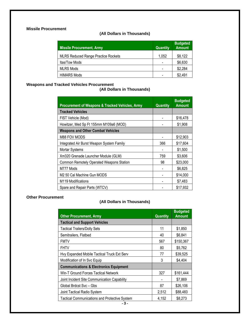# **Missile Procurement**

# **(All Dollars in Thousands)**

| <b>Missile Procurement, Army</b>           | Quantity                 | <b>Budgeted</b><br><b>Amount</b> |
|--------------------------------------------|--------------------------|----------------------------------|
| <b>MLRS Reduced Range Practice Rockets</b> | 1,052                    | \$8,122                          |
| Itas/Tow Mods                              | $\blacksquare$           | \$6,630                          |
| <b>MLRS Mods</b>                           | $\overline{\phantom{a}}$ | \$2,284                          |
| <b>HIMARS Mods</b>                         |                          | \$2,491                          |

# **Weapons and Tracked Vehicles Procurement**

# **(All Dollars in Thousands)**

| <b>Procurement of Weapons &amp; Tracked Vehicles, Army</b> | <b>Quantity</b> | <b>Budgeted</b><br><b>Amount</b> |
|------------------------------------------------------------|-----------------|----------------------------------|
| <b>Tracked Vehicles</b>                                    |                 |                                  |
| FIST Vehicle (Mod)                                         |                 | \$16,478                         |
| Howitzer, Med Sp Ft 155mm M109a6 (MOD)                     |                 | \$1,908                          |
| <b>Weapons and Other Combat Vehicles</b>                   |                 |                                  |
| M88 FOV MODS                                               |                 | \$12,903                         |
| Integrated Air Burst Weapon System Family                  | 366             | \$17,604                         |
| <b>Mortar Systems</b>                                      |                 | \$1,500                          |
| Xm320 Grenade Launcher Module (GLM)                        | 759             | \$3,606                          |
| <b>Common Remotely Operated Weapons Station</b>            | 98              | \$23,000                         |
| M777 Mods                                                  |                 | \$6,825                          |
| M2 50 Cal Machine Gun MODS                                 |                 | \$14,000                         |
| M119 Modifications                                         |                 | \$7,483                          |
| Spare and Repair Parts (WTCV)                              |                 | \$17,932                         |

#### **Other Procurement**

# **(All Dollars in Thousands)**

| <b>Other Procurement, Army</b>                       | <b>Quantity</b> | <b>Budgeted</b><br><b>Amount</b> |
|------------------------------------------------------|-----------------|----------------------------------|
| <b>Tactical and Support Vehicles</b>                 |                 |                                  |
| <b>Tactical Trailers/Dolly Sets</b>                  | 11              | \$1,850                          |
| Semitrailers, Flatbed                                | 40              | \$6,841                          |
| <b>FMTV</b>                                          | 567             | \$150,367                        |
| FHTV                                                 | 80              | \$5,762                          |
| Hvy Expanded Mobile Tactical Truck Ext Serv          | 77              | \$39,525                         |
| Modification of In Svc Equip                         | 3               | \$4,404                          |
| <b>Communications &amp; Electronics Equipment</b>    |                 |                                  |
| Win-T Ground Forces Tactical Network                 | 327             | \$161,444                        |
| Joint Incident Site Communication Capability         |                 | \$7,869                          |
| Global Brdcst Svc - Gbs                              | 87              | \$26,106                         |
| Joint Tactical Radio System                          | 2,512           | \$88,483                         |
| <b>Tactical Communications and Protective System</b> | 4,152           | \$8,273                          |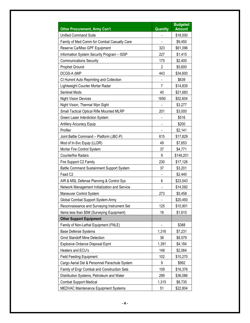|                                               |                 | <b>Budgeted</b> |
|-----------------------------------------------|-----------------|-----------------|
| <b>Other Procurement, Army Con't</b>          | <b>Quantity</b> | <b>Amount</b>   |
| <b>Unified Command Suite</b>                  |                 | \$18,000        |
| Family of Med Comm for Combat Casualty Care   |                 | \$9,450         |
| Reserve Ca/Miso GPF Equipment                 | 323             | \$61,096        |
| Information System Security Program - ISSP    | 227             | \$1,415         |
| <b>Communications Security</b>                | 175             | \$2,400         |
| Prophet Ground                                | 2               | \$5,600         |
| DCGS-A (MIP                                   | 443             | \$34,600        |
| CI Humint Auto Reprinting and Collection      |                 | \$639           |
| Lightweight Counter Mortar Radar              | $\overline{7}$  | \$14,835        |
| <b>Sentinel Mods</b>                          | 40              | \$21,683        |
| <b>Night Vision Devices</b>                   | 1650            | \$52,604        |
| Night Vision, Thermal Wpn Sight               |                 | \$3,277         |
| Small Tactical Optical Rifle Mounted MLRP     | 201             | \$3,000         |
| Green Laser Interdiction System               |                 | \$516           |
| <b>Artillery Accuracy Equip</b>               |                 | \$200           |
| Profiler                                      |                 | \$2,141         |
| Joint Battle Command - Platform (JBC-P)       | 615             | \$17,829        |
| Mod of In-Svc Equip (LLDR)                    | 49              | \$7,653         |
| Mortar Fire Control System                    | 37              | \$4,771         |
| <b>Counterfire Radars</b>                     | 9               | \$149,201       |
| Fire Support C2 Family                        | 230             | \$17,126        |
| Battle Command Sustainment Support System     | 37              | \$3,201         |
| Faad C <sub>2</sub>                           |                 | \$2,440         |
| AIR & MSL Defense Planning & Control Sys      | 6               | \$23,543        |
| Network Management Initialization and Service |                 | \$14,092        |
| Maneuver Control System                       | 273             | \$5,458         |
| Global Combat Support System-Army             |                 | \$20,493        |
| Reconnaissance and Surveying Instrument Set   | 125             | \$10,901        |
| Items less than \$5M (Surveying Equipment)    | 16              | \$1,615         |
| <b>Other Support Equipment</b>                |                 |                 |
| Family of Non-Lethal Equipment (FNLE)         |                 | \$388           |
| <b>Base Defense Systems</b>                   | 1,316           | \$7,231         |
| <b>Grnd Standoff Mine Detection</b>           | 36              | \$8,579         |
| Explosive Ordance Disposal Eqmt               | 1,391           | \$4,184         |
| Heaters and ECU's                             | 148             | \$2,064         |
| <b>Field Feeding Equipment</b>                | 102             | \$10,270        |
| Cargo Aerial Del & Personnel Parachute System | 9               | \$992           |
| Family of Engr Combat and Construction Sets   | 109             | \$16,376        |
| Distribution Systems, Petroleum and Water     | 299             | \$36,086        |
| <b>Combat Support Medical</b>                 | 1,315           | \$6,735         |
| MEDVAC Maintenance Equipment Systems          | 51              | \$22,804        |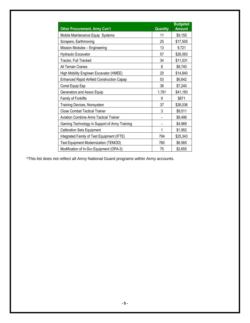| <b>Other Procurement, Army Con't</b>              | <b>Quantity</b> | <b>Budgeted</b><br><b>Amount</b> |
|---------------------------------------------------|-----------------|----------------------------------|
| Mobile Maintenance Equip Systems                  | 11              | \$9,155                          |
| Scrapers, Earthmoving                             | 25              | \$17,505                         |
| Mission Modules - Engineering                     | 13              | 9,721                            |
| <b>Hydraulic Excavator</b>                        | 57              | \$26,063                         |
| Tractor, Full Tracked                             | 34              | \$11,531                         |
| All Terrain Cranes                                | 8               | \$8,740                          |
| High Mobility Engineer Excavator (HMEE)           | 20              | \$14,840                         |
| <b>Enhanced Rapid Airfield Construction Capap</b> | 53              | \$6,642                          |
| Const Equip Esp                                   | 36              | \$7,240                          |
| Generators and Assoc Equip                        | 1,761           | \$41,183                         |
| Family of Forklifts                               | 9               | \$871                            |
| Training Devices, Nonsystem                       | 37              | \$26,036                         |
| <b>Close Combat Tactical Trainer</b>              | 3               | \$8,011                          |
| <b>Aviation Combine Arms Tactical Trainer</b>     |                 | \$8,496                          |
| Gaming Technology in Support of Army Training     |                 | \$4,969                          |
| <b>Calibration Sets Equipment</b>                 | 1               | \$1,952                          |
| Integrated Family of Test Equipment (IFTE)        | 794             | \$25,343                         |
| <b>Test Equipment Modernization (TEMOD)</b>       | 780             | \$6,565                          |
| Modification of In-Svc Equipment (OPA-3)          | 75              | \$2,655                          |

\*This list does not reflect all Army National Guard programs within Army accounts.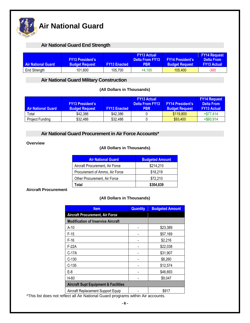

# **Air National Guard End Strength**

| <b>Air National Guard A</b> | <b>FY13 President's</b><br><b>Budget Request</b> | <b>FY13 Enacted</b> | <b>FY13 Actual</b><br>∟Delta From FY13 i<br><b>PBR</b> | <b>FY14 President's</b><br><b>Budget Request</b> | <b>FY14 Request</b><br>Delta From<br><b>FY13 Actual</b> |
|-----------------------------|--------------------------------------------------|---------------------|--------------------------------------------------------|--------------------------------------------------|---------------------------------------------------------|
| End Strength                | 101.600                                          | 105.700             | $+4.100$                                               | 105.400                                          | -300                                                    |

# **Air National Guard Military Construction**

#### **(All Dollars in Thousands)**

| <b>Air National Guard</b> | <b>FY13 President's</b><br><b>Budget Request</b> | <b>FY13 Enacted</b> | <b>FY13 Actual</b><br>∟Delta From FY13<br><b>PBR</b> | <b>FY14 President's</b><br><b>Budget Request</b> | <b>FY14 Request</b><br><b>Delta From</b><br><b>FY13 Actual</b> |
|---------------------------|--------------------------------------------------|---------------------|------------------------------------------------------|--------------------------------------------------|----------------------------------------------------------------|
| Total                     | \$42,386                                         | \$42.386            |                                                      | \$119,800                                        | $+$ \$77.414                                                   |
| Project Funding           | \$32,486                                         | \$32,486            |                                                      | \$93,400                                         | $+$ \$60,914                                                   |

# **Air National Guard Procurement in Air Force Accounts\***

#### **Overview**

#### **(All Dollars in Thousands)**.

| <b>Air National Guard</b>       | <b>Budgeted Amount</b> |  |  |
|---------------------------------|------------------------|--|--|
| Aircraft Procurement, Air Force | \$214,210              |  |  |
| Procurement of Ammo, Air Force  | \$18,219               |  |  |
| Other Procurement, Air Force    | \$72,210               |  |  |
| Total                           | \$304,639              |  |  |

#### **Aircraft Procurement**

# **(All Dollars in Thousands)**

| <b>Item</b>                                     | <b>Quantity</b> | <b>Budgeted Amount</b> |  |  |
|-------------------------------------------------|-----------------|------------------------|--|--|
| <b>Aircraft Procurement, Air Force</b>          |                 |                        |  |  |
| <b>Modification of Inservice Aircraft</b>       |                 |                        |  |  |
| A-10                                            |                 | \$23,389               |  |  |
| $F-15$                                          |                 | \$57,169               |  |  |
| $F-16$                                          |                 | \$2,216                |  |  |
| F-22A                                           |                 | \$22,038               |  |  |
| $C-17A$                                         |                 | \$31,907               |  |  |
| C-130                                           |                 | \$8,260                |  |  |
| $C-135$                                         |                 | \$12,574               |  |  |
| E-8                                             |                 | \$46,693               |  |  |
| $H-60$                                          |                 | \$9,047                |  |  |
| <b>Aircraft Supt Equipment &amp; Facilities</b> |                 |                        |  |  |
| Aircraft Replacement Support Equip              |                 | \$917                  |  |  |

\*This list does not reflect all Air National Guard programs within Air accounts.